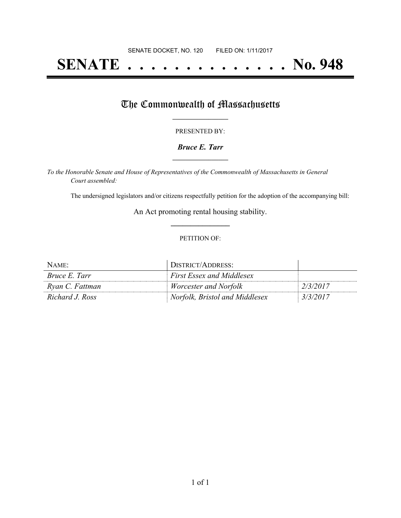## **SENATE . . . . . . . . . . . . . . No. 948**

## The Commonwealth of Massachusetts

#### PRESENTED BY:

### *Bruce E. Tarr* **\_\_\_\_\_\_\_\_\_\_\_\_\_\_\_\_\_**

*To the Honorable Senate and House of Representatives of the Commonwealth of Massachusetts in General Court assembled:*

The undersigned legislators and/or citizens respectfully petition for the adoption of the accompanying bill:

An Act promoting rental housing stability. **\_\_\_\_\_\_\_\_\_\_\_\_\_\_\_**

#### PETITION OF:

| NAME:                | DISTRICT/ADDRESS:                |          |
|----------------------|----------------------------------|----------|
| <i>Bruce E. Tarr</i> | <b>First Essex and Middlesex</b> |          |
| Ryan C. Fattman      | <i>Worcester and Norfolk</i>     | 2/3/2017 |
| Richard J. Ross      | Norfolk, Bristol and Middlesex   | 3/3/2017 |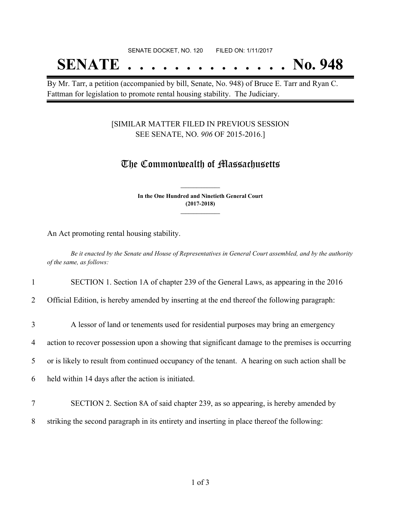## SENATE DOCKET, NO. 120 FILED ON: 1/11/2017

# **SENATE . . . . . . . . . . . . . . No. 948**

By Mr. Tarr, a petition (accompanied by bill, Senate, No. 948) of Bruce E. Tarr and Ryan C. Fattman for legislation to promote rental housing stability. The Judiciary.

### [SIMILAR MATTER FILED IN PREVIOUS SESSION SEE SENATE, NO. *906* OF 2015-2016.]

## The Commonwealth of Massachusetts

**In the One Hundred and Ninetieth General Court (2017-2018) \_\_\_\_\_\_\_\_\_\_\_\_\_\_\_**

**\_\_\_\_\_\_\_\_\_\_\_\_\_\_\_**

An Act promoting rental housing stability.

Be it enacted by the Senate and House of Representatives in General Court assembled, and by the authority *of the same, as follows:*

#### 1 SECTION 1. Section 1A of chapter 239 of the General Laws, as appearing in the 2016

2 Official Edition, is hereby amended by inserting at the end thereof the following paragraph:

- 3 A lessor of land or tenements used for residential purposes may bring an emergency 4 action to recover possession upon a showing that significant damage to the premises is occurring 5 or is likely to result from continued occupancy of the tenant. A hearing on such action shall be 6 held within 14 days after the action is initiated.
- 7 SECTION 2. Section 8A of said chapter 239, as so appearing, is hereby amended by
- 8 striking the second paragraph in its entirety and inserting in place thereof the following: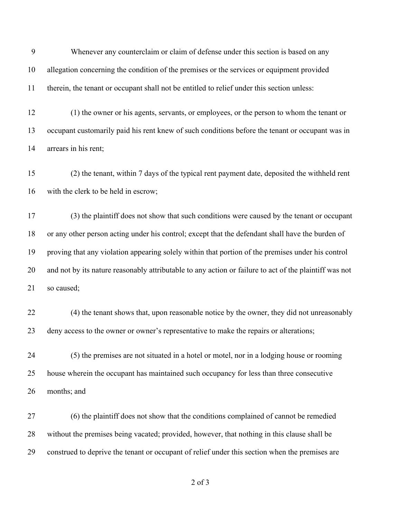Whenever any counterclaim or claim of defense under this section is based on any allegation concerning the condition of the premises or the services or equipment provided therein, the tenant or occupant shall not be entitled to relief under this section unless:

 (1) the owner or his agents, servants, or employees, or the person to whom the tenant or occupant customarily paid his rent knew of such conditions before the tenant or occupant was in arrears in his rent;

 (2) the tenant, within 7 days of the typical rent payment date, deposited the withheld rent with the clerk to be held in escrow;

 (3) the plaintiff does not show that such conditions were caused by the tenant or occupant or any other person acting under his control; except that the defendant shall have the burden of proving that any violation appearing solely within that portion of the premises under his control and not by its nature reasonably attributable to any action or failure to act of the plaintiff was not so caused;

 (4) the tenant shows that, upon reasonable notice by the owner, they did not unreasonably deny access to the owner or owner's representative to make the repairs or alterations;

 (5) the premises are not situated in a hotel or motel, nor in a lodging house or rooming house wherein the occupant has maintained such occupancy for less than three consecutive months; and

 (6) the plaintiff does not show that the conditions complained of cannot be remedied without the premises being vacated; provided, however, that nothing in this clause shall be construed to deprive the tenant or occupant of relief under this section when the premises are